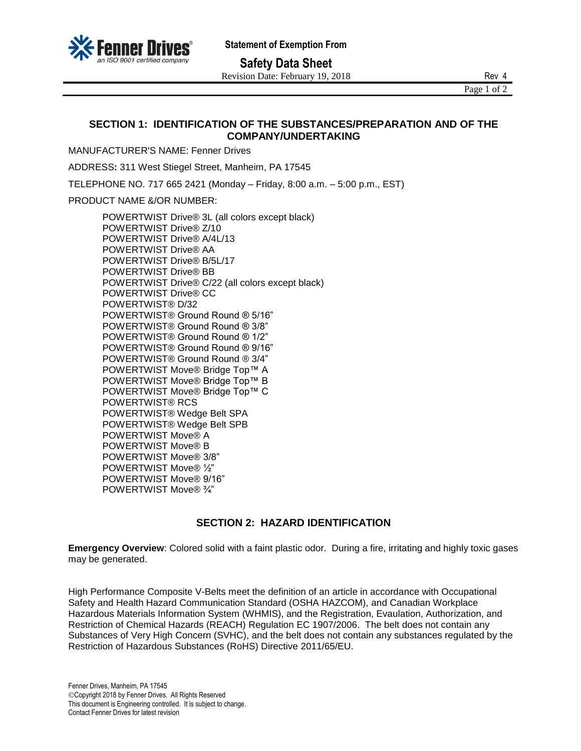

**Safety Data Sheet**

Revision Date: February 19, 2018 Rev 4

Page 1 of 2

## **SECTION 1: IDENTIFICATION OF THE SUBSTANCES/PREPARATION AND OF THE COMPANY/UNDERTAKING**

MANUFACTURER'S NAME: Fenner Drives

ADDRESS**:** 311 West Stiegel Street, Manheim, PA 17545

TELEPHONE NO. 717 665 2421 (Monday – Friday, 8:00 a.m. – 5:00 p.m., EST)

PRODUCT NAME &/OR NUMBER:

POWERTWIST Drive® 3L (all colors except black) POWERTWIST Drive® Z/10 POWERTWIST Drive® A/4L/13 POWERTWIST Drive® AA POWERTWIST Drive® B/5L/17 POWERTWIST Drive® BB POWERTWIST Drive® C/22 (all colors except black) POWERTWIST Drive® CC POWERTWIST® D/32 POWERTWIST® Ground Round ® 5/16" POWERTWIST® Ground Round ® 3/8" POWERTWIST® Ground Round ® 1/2" POWERTWIST® Ground Round ® 9/16" POWERTWIST® Ground Round ® 3/4" POWERTWIST Move® Bridge Top™ A POWERTWIST Move® Bridge Top™ B POWERTWIST Move® Bridge Top™ C POWERTWIST® RCS POWERTWIST® Wedge Belt SPA POWERTWIST® Wedge Belt SPB POWERTWIST Move® A POWERTWIST Move® B POWERTWIST Move® 3/8" POWERTWIST Move® ½" POWERTWIST Move® 9/16" POWERTWIST Move® ¾"

# **SECTION 2: HAZARD IDENTIFICATION**

**Emergency Overview**: Colored solid with a faint plastic odor. During a fire, irritating and highly toxic gases may be generated.

High Performance Composite V-Belts meet the definition of an article in accordance with Occupational Safety and Health Hazard Communication Standard (OSHA HAZCOM), and Canadian Workplace Hazardous Materials Information System (WHMIS), and the Registration, Evaulation, Authorization, and Restriction of Chemical Hazards (REACH) Regulation EC 1907/2006. The belt does not contain any Substances of Very High Concern (SVHC), and the belt does not contain any substances regulated by the Restriction of Hazardous Substances (RoHS) Directive 2011/65/EU.